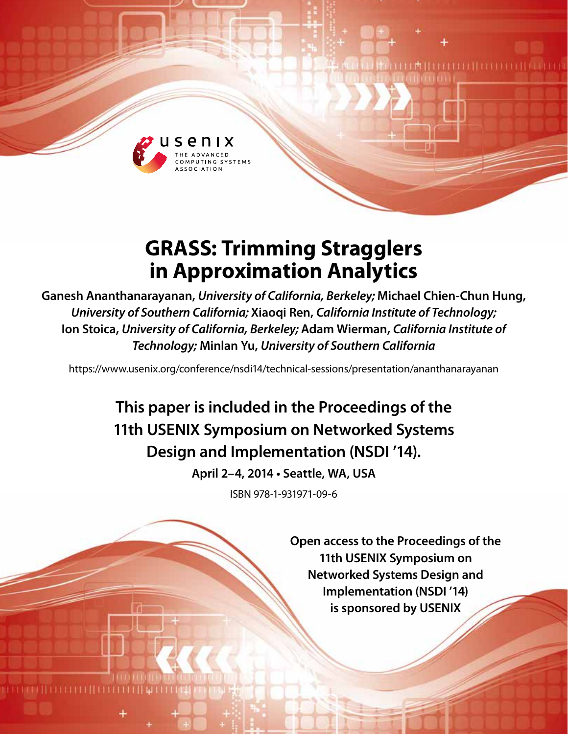

# **GRASS: Trimming Stragglers in Approximation Analytics**

**Ganesh Ananthanarayanan,** *University of California, Berkeley;* **Michael Chien-Chun Hung,**  *University of Southern California;* **Xiaoqi Ren,** *California Institute of Technology;*  **Ion Stoica,** *University of California, Berkeley;* **Adam Wierman,** *California Institute of Technology;* **Minlan Yu,** *University of Southern California*

https://www.usenix.org/conference/nsdi14/technical-sessions/presentation/ananthanarayanan

**This paper is included in the Proceedings of the 11th USENIX Symposium on Networked Systems Design and Implementation (NSDI '14).**

**April 2–4, 2014 • Seattle, WA, USA**

ISBN 978-1-931971-09-6

**Open access to the Proceedings of the 11th USENIX Symposium on Networked Systems Design and Implementation (NSDI '14) is sponsored by USENIX**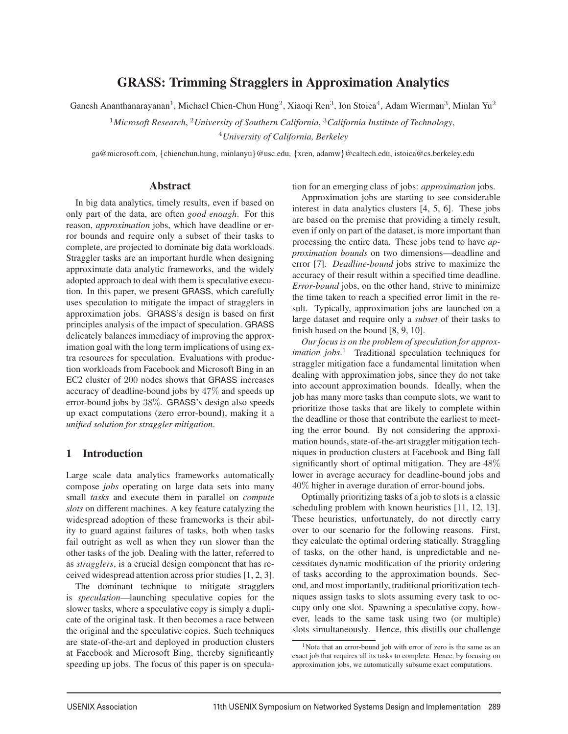# GRASS: Trimming Stragglers in Approximation Analytics

Ganesh Ananthanarayanan<sup>1</sup>, Michael Chien-Chun Hung<sup>2</sup>, Xiaoqi Ren<sup>3</sup>, Ion Stoica<sup>4</sup>, Adam Wierman<sup>3</sup>, Minlan Yu<sup>2</sup>

<sup>1</sup>*Microsoft Research*, <sup>2</sup>*University of Southern California*, <sup>3</sup>*California Institute of Technology*, <sup>4</sup>*University of California, Berkeley*

ga@microsoft.com, {chienchun.hung, minlanyu}@usc.edu, {xren, adamw}@caltech.edu, istoica@cs.berkeley.edu

#### Abstract

In big data analytics, timely results, even if based on only part of the data, are often *good enough*. For this reason, *approximation* jobs, which have deadline or error bounds and require only a subset of their tasks to complete, are projected to dominate big data workloads. Straggler tasks are an important hurdle when designing approximate data analytic frameworks, and the widely adopted approach to deal with them is speculative execution. In this paper, we present GRASS, which carefully uses speculation to mitigate the impact of stragglers in approximation jobs. GRASS's design is based on first principles analysis of the impact of speculation. GRASS delicately balances immediacy of improving the approximation goal with the long term implications of using extra resources for speculation. Evaluations with production workloads from Facebook and Microsoft Bing in an EC2 cluster of 200 nodes shows that GRASS increases accuracy of deadline-bound jobs by 47% and speeds up error-bound jobs by 38%. GRASS's design also speeds up exact computations (zero error-bound), making it a *unified solution for straggler mitigation*.

## 1 Introduction

Large scale data analytics frameworks automatically compose *jobs* operating on large data sets into many small *tasks* and execute them in parallel on *compute slots* on different machines. A key feature catalyzing the widespread adoption of these frameworks is their ability to guard against failures of tasks, both when tasks fail outright as well as when they run slower than the other tasks of the job. Dealing with the latter, referred to as *stragglers*, is a crucial design component that has received widespread attention across prior studies [1, 2, 3].

The dominant technique to mitigate stragglers is *speculation*—launching speculative copies for the slower tasks, where a speculative copy is simply a duplicate of the original task. It then becomes a race between the original and the speculative copies. Such techniques are state-of-the-art and deployed in production clusters at Facebook and Microsoft Bing, thereby significantly speeding up jobs. The focus of this paper is on speculation for an emerging class of jobs: *approximation* jobs.

Approximation jobs are starting to see considerable interest in data analytics clusters [4, 5, 6]. These jobs are based on the premise that providing a timely result, even if only on part of the dataset, is more important than processing the entire data. These jobs tend to have *approximation bounds* on two dimensions—deadline and error [7]. *Deadline-bound* jobs strive to maximize the accuracy of their result within a specified time deadline. *Error-bound* jobs, on the other hand, strive to minimize the time taken to reach a specified error limit in the result. Typically, approximation jobs are launched on a large dataset and require only a *subset* of their tasks to finish based on the bound [8, 9, 10].

*Our focus is on the problem of speculation for approximation jobs*. <sup>1</sup> Traditional speculation techniques for straggler mitigation face a fundamental limitation when dealing with approximation jobs, since they do not take into account approximation bounds. Ideally, when the job has many more tasks than compute slots, we want to prioritize those tasks that are likely to complete within the deadline or those that contribute the earliest to meeting the error bound. By not considering the approximation bounds, state-of-the-art straggler mitigation techniques in production clusters at Facebook and Bing fall significantly short of optimal mitigation. They are 48% lower in average accuracy for deadline-bound jobs and 40% higher in average duration of error-bound jobs.

Optimally prioritizing tasks of a job to slots is a classic scheduling problem with known heuristics [11, 12, 13]. These heuristics, unfortunately, do not directly carry over to our scenario for the following reasons. First, they calculate the optimal ordering statically. Straggling of tasks, on the other hand, is unpredictable and necessitates dynamic modification of the priority ordering of tasks according to the approximation bounds. Second, and most importantly, traditional prioritization techniques assign tasks to slots assuming every task to occupy only one slot. Spawning a speculative copy, however, leads to the same task using two (or multiple) slots simultaneously. Hence, this distills our challenge

<sup>1</sup>Note that an error-bound job with error of zero is the same as an exact job that requires all its tasks to complete. Hence, by focusing on approximation jobs, we automatically subsume exact computations.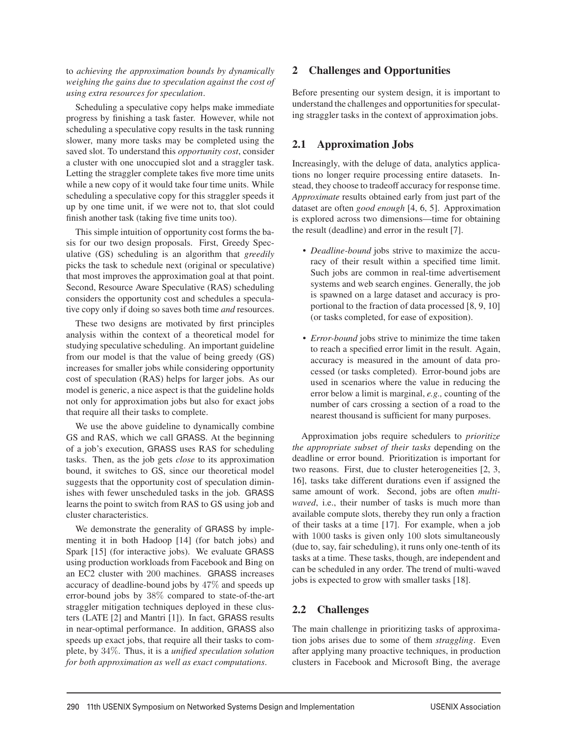to *achieving the approximation bounds by dynamically weighing the gains due to speculation against the cost of using extra resources for speculation*.

Scheduling a speculative copy helps make immediate progress by finishing a task faster. However, while not scheduling a speculative copy results in the task running slower, many more tasks may be completed using the saved slot. To understand this *opportunity cost*, consider a cluster with one unoccupied slot and a straggler task. Letting the straggler complete takes five more time units while a new copy of it would take four time units. While scheduling a speculative copy for this straggler speeds it up by one time unit, if we were not to, that slot could finish another task (taking five time units too).

This simple intuition of opportunity cost forms the basis for our two design proposals. First, Greedy Speculative (GS) scheduling is an algorithm that *greedily* picks the task to schedule next (original or speculative) that most improves the approximation goal at that point. Second, Resource Aware Speculative (RAS) scheduling considers the opportunity cost and schedules a speculative copy only if doing so saves both time *and* resources.

These two designs are motivated by first principles analysis within the context of a theoretical model for studying speculative scheduling. An important guideline from our model is that the value of being greedy (GS) increases for smaller jobs while considering opportunity cost of speculation (RAS) helps for larger jobs. As our model is generic, a nice aspect is that the guideline holds not only for approximation jobs but also for exact jobs that require all their tasks to complete.

We use the above guideline to dynamically combine GS and RAS, which we call GRASS. At the beginning of a job's execution, GRASS uses RAS for scheduling tasks. Then, as the job gets *close* to its approximation bound, it switches to GS, since our theoretical model suggests that the opportunity cost of speculation diminishes with fewer unscheduled tasks in the job. GRASS learns the point to switch from RAS to GS using job and cluster characteristics.

We demonstrate the generality of GRASS by implementing it in both Hadoop [14] (for batch jobs) and Spark [15] (for interactive jobs). We evaluate GRASS using production workloads from Facebook and Bing on an EC2 cluster with 200 machines. GRASS increases accuracy of deadline-bound jobs by 47% and speeds up error-bound jobs by 38% compared to state-of-the-art straggler mitigation techniques deployed in these clusters (LATE [2] and Mantri [1]). In fact, GRASS results in near-optimal performance. In addition, GRASS also speeds up exact jobs, that require all their tasks to complete, by 34%. Thus, it is a *unified speculation solution for both approximation as well as exact computations*.

# 2 Challenges and Opportunities

Before presenting our system design, it is important to understand the challenges and opportunities for speculating straggler tasks in the context of approximation jobs.

# 2.1 Approximation Jobs

Increasingly, with the deluge of data, analytics applications no longer require processing entire datasets. Instead, they choose to tradeoff accuracy for response time. *Approximate* results obtained early from just part of the dataset are often *good enough* [4, 6, 5]. Approximation is explored across two dimensions—time for obtaining the result (deadline) and error in the result [7].

- *Deadline-bound* jobs strive to maximize the accuracy of their result within a specified time limit. Such jobs are common in real-time advertisement systems and web search engines. Generally, the job is spawned on a large dataset and accuracy is proportional to the fraction of data processed [8, 9, 10] (or tasks completed, for ease of exposition).
- *Error-bound* jobs strive to minimize the time taken to reach a specified error limit in the result. Again, accuracy is measured in the amount of data processed (or tasks completed). Error-bound jobs are used in scenarios where the value in reducing the error below a limit is marginal, *e.g.,* counting of the number of cars crossing a section of a road to the nearest thousand is sufficient for many purposes.

Approximation jobs require schedulers to *prioritize the appropriate subset of their tasks* depending on the deadline or error bound. Prioritization is important for two reasons. First, due to cluster heterogeneities [2, 3, 16], tasks take different durations even if assigned the same amount of work. Second, jobs are often *multiwaved*, i.e., their number of tasks is much more than available compute slots, thereby they run only a fraction of their tasks at a time [17]. For example, when a job with 1000 tasks is given only 100 slots simultaneously (due to, say, fair scheduling), it runs only one-tenth of its tasks at a time. These tasks, though, are independent and can be scheduled in any order. The trend of multi-waved jobs is expected to grow with smaller tasks [18].

# 2.2 Challenges

2

The main challenge in prioritizing tasks of approximation jobs arises due to some of them *straggling*. Even after applying many proactive techniques, in production clusters in Facebook and Microsoft Bing, the average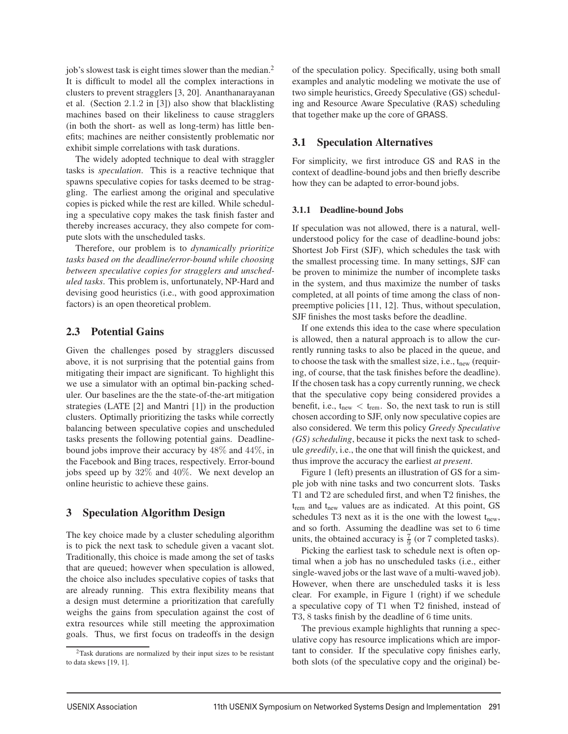job's slowest task is eight times slower than the median.<sup>2</sup> It is difficult to model all the complex interactions in clusters to prevent stragglers [3, 20]. Ananthanarayanan et al. (Section 2.1.2 in [3]) also show that blacklisting machines based on their likeliness to cause stragglers (in both the short- as well as long-term) has little benefits; machines are neither consistently problematic nor exhibit simple correlations with task durations.

The widely adopted technique to deal with straggler tasks is *speculation*. This is a reactive technique that spawns speculative copies for tasks deemed to be straggling. The earliest among the original and speculative copies is picked while the rest are killed. While scheduling a speculative copy makes the task finish faster and thereby increases accuracy, they also compete for compute slots with the unscheduled tasks.

Therefore, our problem is to *dynamically prioritize tasks based on the deadline/error-bound while choosing between speculative copies for stragglers and unscheduled tasks*. This problem is, unfortunately, NP-Hard and devising good heuristics (i.e., with good approximation factors) is an open theoretical problem.

## 2.3 Potential Gains

Given the challenges posed by stragglers discussed above, it is not surprising that the potential gains from mitigating their impact are significant. To highlight this we use a simulator with an optimal bin-packing scheduler. Our baselines are the the state-of-the-art mitigation strategies (LATE [2] and Mantri [1]) in the production clusters. Optimally prioritizing the tasks while correctly balancing between speculative copies and unscheduled tasks presents the following potential gains. Deadlinebound jobs improve their accuracy by 48% and 44%, in the Facebook and Bing traces, respectively. Error-bound jobs speed up by 32% and 40%. We next develop an online heuristic to achieve these gains.

## 3 Speculation Algorithm Design

The key choice made by a cluster scheduling algorithm is to pick the next task to schedule given a vacant slot. Traditionally, this choice is made among the set of tasks that are queued; however when speculation is allowed, the choice also includes speculative copies of tasks that are already running. This extra flexibility means that a design must determine a prioritization that carefully weighs the gains from speculation against the cost of extra resources while still meeting the approximation goals. Thus, we first focus on tradeoffs in the design of the speculation policy. Specifically, using both small examples and analytic modeling we motivate the use of two simple heuristics, Greedy Speculative (GS) scheduling and Resource Aware Speculative (RAS) scheduling that together make up the core of GRASS.

## 3.1 Speculation Alternatives

For simplicity, we first introduce GS and RAS in the context of deadline-bound jobs and then briefly describe how they can be adapted to error-bound jobs.

## 3.1.1 Deadline-bound Jobs

If speculation was not allowed, there is a natural, wellunderstood policy for the case of deadline-bound jobs: Shortest Job First (SJF), which schedules the task with the smallest processing time. In many settings, SJF can be proven to minimize the number of incomplete tasks in the system, and thus maximize the number of tasks completed, at all points of time among the class of nonpreemptive policies [11, 12]. Thus, without speculation, SJF finishes the most tasks before the deadline.

If one extends this idea to the case where speculation is allowed, then a natural approach is to allow the currently running tasks to also be placed in the queue, and to choose the task with the smallest size, i.e.,  $t_{new}$  (requiring, of course, that the task finishes before the deadline). If the chosen task has a copy currently running, we check that the speculative copy being considered provides a benefit, i.e.,  $t_{new} < t_{rem}$ . So, the next task to run is still chosen according to SJF, only now speculative copies are also considered. We term this policy *Greedy Speculative (GS) scheduling*, because it picks the next task to schedule *greedily*, i.e., the one that will finish the quickest, and thus improve the accuracy the earliest *at present*.

Figure 1 (left) presents an illustration of GS for a simple job with nine tasks and two concurrent slots. Tasks T1 and T2 are scheduled first, and when T2 finishes, the  $t_{\text{rem}}$  and  $t_{\text{new}}$  values are as indicated. At this point, GS schedules T3 next as it is the one with the lowest  $t_{new}$ , and so forth. Assuming the deadline was set to 6 time units, the obtained accuracy is  $\frac{7}{9}$  (or 7 completed tasks).

Picking the earliest task to schedule next is often optimal when a job has no unscheduled tasks (i.e., either single-waved jobs or the last wave of a multi-waved job). However, when there are unscheduled tasks it is less clear. For example, in Figure 1 (right) if we schedule a speculative copy of T1 when T2 finished, instead of T3, 8 tasks finish by the deadline of 6 time units.

The previous example highlights that running a speculative copy has resource implications which are important to consider. If the speculative copy finishes early, both slots (of the speculative copy and the original) be-

<sup>2</sup>Task durations are normalized by their input sizes to be resistant to data skews [19, 1].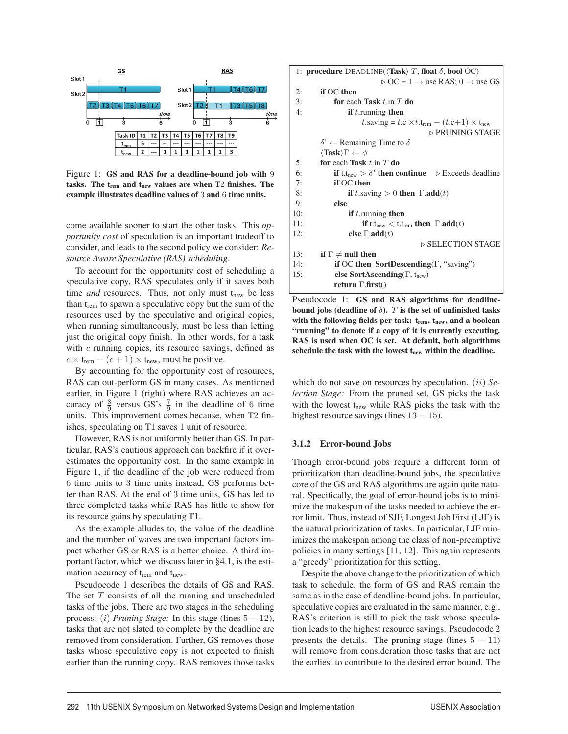

Figure 1: GS and RAS for a deadline-bound job with 9 tasks. The  $t_{rem}$  and  $t_{new}$  values are when T2 finishes. The example illustrates deadline values of 3 and 6 time units.

come available sooner to start the other tasks. This *opportunity cost* of speculation is an important tradeoff to consider, and leads to the second policy we consider: *Resource Aware Speculative (RAS) scheduling*.

To account for the opportunity cost of scheduling a speculative copy, RAS speculates only if it saves both time *and* resources. Thus, not only must t<sub>new</sub> be less than  $t_{rem}$  to spawn a speculative copy but the sum of the resources used by the speculative and original copies, when running simultaneously, must be less than letting just the original copy finish. In other words, for a task with  $c$  running copies, its resource savings, defined as  $c \times t_{\text{rem}} - (c + 1) \times t_{\text{new}}$ , must be positive.

By accounting for the opportunity cost of resources, RAS can out-perform GS in many cases. As mentioned earlier, in Figure 1 (right) where RAS achieves an accuracy of  $\frac{8}{9}$  versus GS's  $\frac{7}{9}$  in the deadline of 6 time units. This improvement comes because, when T2 finishes, speculating on T1 saves 1 unit of resource.

However, RAS is not uniformly better than GS. In particular, RAS's cautious approach can backfire if it overestimates the opportunity cost. In the same example in Figure 1, if the deadline of the job were reduced from 6 time units to 3 time units instead, GS performs better than RAS. At the end of 3 time units, GS has led to three completed tasks while RAS has little to show for its resource gains by speculating T1.

As the example alludes to, the value of the deadline and the number of waves are two important factors impact whether GS or RAS is a better choice. A third important factor, which we discuss later in §4.1, is the estimation accuracy of t<sub>rem</sub> and t<sub>new</sub>.

Pseudocode 1 describes the details of GS and RAS. The set  $T$  consists of all the running and unscheduled tasks of the jobs. There are two stages in the scheduling process: (i) *Pruning Stage:* In this stage (lines  $5 - 12$ ), tasks that are not slated to complete by the deadline are removed from consideration. Further, GS removes those tasks whose speculative copy is not expected to finish earlier than the running copy. RAS removes those tasks

```
1: procedure DEADLINE(\langle Task \rangle T, float \delta, bool OC)\triangleright OC = 1 \rightarrow use RAS; 0 \rightarrow use GS
 2: if OC then
 3: for each Task t in T do
 4: if t.running then
                      t.saving = t.c × t.t<sub>rem</sub> – (t.c+1) × t<sub>new</sub>⊲ PRUNING STAGE
         \delta' \leftarrow Remaining Time to \delta\langle \textbf{Task} \rangle \Gamma \leftarrow \phi5: for each Task t in T do
 6: if t.t<sub>new</sub> > \delta' then continue \delta Exceeds deadline
 7: if OC then
 8: if t.saving > 0 then \Gamma.add(t)
 9: else
10: if t. running then
11: if t.t<sub>new</sub> \lt t.t<sub>rem</sub> then \Gamma.add(t)
12: else \Gamma.add(t)
                                        ⊲ SELECTION STAGE
13: if \Gamma \neq null then
14: if OC then SortDescending(Γ, "saving")
15: else SortAscending(Γ, t<sub>new</sub>)
             return Γ.first()
```
Pseudocode 1: GS and RAS algorithms for deadlinebound jobs (deadline of  $\delta$ ). T is the set of unfinished tasks with the following fields per task: t<sub>rem</sub>, t<sub>new</sub>, and a boolean "running" to denote if a copy of it is currently executing. RAS is used when OC is set. At default, both algorithms schedule the task with the lowest t<sub>new</sub> within the deadline.

which do not save on resources by speculation. *(ii) Selection Stage:* From the pruned set, GS picks the task with the lowest  $t_{new}$  while RAS picks the task with the highest resource savings (lines  $13 - 15$ ).

#### 3.1.2 Error-bound Jobs

Though error-bound jobs require a different form of prioritization than deadline-bound jobs, the speculative core of the GS and RAS algorithms are again quite natural. Specifically, the goal of error-bound jobs is to minimize the makespan of the tasks needed to achieve the error limit. Thus, instead of SJF, Longest Job First (LJF) is the natural prioritization of tasks. In particular, LJF minimizes the makespan among the class of non-preemptive policies in many settings [11, 12]. This again represents a "greedy" prioritization for this setting.

Despite the above change to the prioritization of which task to schedule, the form of GS and RAS remain the same as in the case of deadline-bound jobs. In particular, speculative copies are evaluated in the same manner, e.g., RAS's criterion is still to pick the task whose speculation leads to the highest resource savings. Pseudocode 2 presents the details. The pruning stage (lines  $5 - 11$ ) will remove from consideration those tasks that are not the earliest to contribute to the desired error bound. The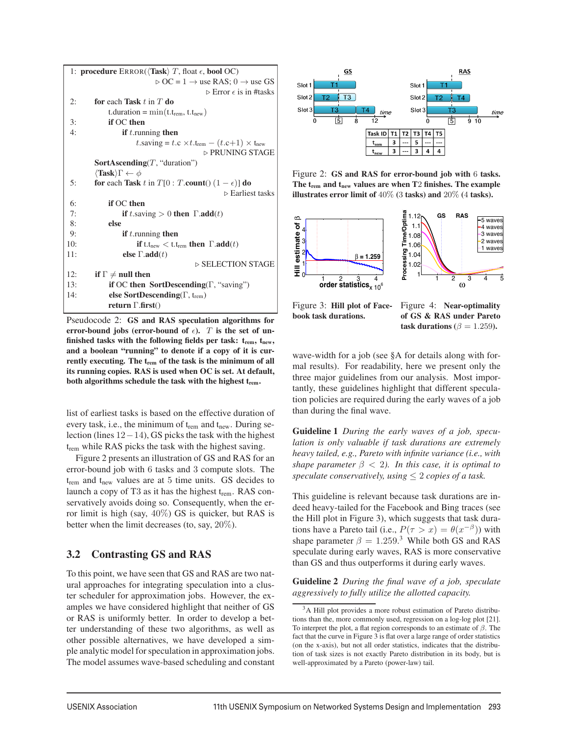| 1: <b>procedure</b> $\text{ERROR}(\langle \text{Task} \rangle \, T, \text{float } \epsilon, \text{bool } \text{OC})$ |                                                                                      |  |  |
|----------------------------------------------------------------------------------------------------------------------|--------------------------------------------------------------------------------------|--|--|
|                                                                                                                      | $\triangleright$ OC = 1 $\rightarrow$ use RAS; 0 $\rightarrow$ use GS                |  |  |
|                                                                                                                      | $\triangleright$ Error $\epsilon$ is in #tasks                                       |  |  |
| 2:                                                                                                                   | for each Task $t$ in $T$ do                                                          |  |  |
|                                                                                                                      | t.duration = $\min(t.t_{rem}, t.t_{new})$                                            |  |  |
| 3:                                                                                                                   | if OC then                                                                           |  |  |
| 4:                                                                                                                   | <b>if</b> $t$ . running <b>then</b>                                                  |  |  |
|                                                                                                                      | t.saving = t.c $\times t$ .t <sub>rem</sub> – (t.c+1) $\times$ t <sub>new</sub>      |  |  |
|                                                                                                                      | ▷ PRUNING STAGE                                                                      |  |  |
| <b>SortAscending</b> $(T, "duration")$                                                                               |                                                                                      |  |  |
|                                                                                                                      | $\langle \textbf{Task} \rangle \Gamma \leftarrow \phi$                               |  |  |
| 5:                                                                                                                   | for each Task t in $T[0: T.count() (1 - \epsilon)]$ do                               |  |  |
|                                                                                                                      | $\triangleright$ Earliest tasks                                                      |  |  |
| 6:                                                                                                                   | if OC then                                                                           |  |  |
| 7:                                                                                                                   | <b>if</b> t.saving $> 0$ then $\Gamma$ add(t)                                        |  |  |
| 8:                                                                                                                   | else                                                                                 |  |  |
| 9:                                                                                                                   | <b>if</b> $t$ . running <b>then</b>                                                  |  |  |
| 10:                                                                                                                  | <b>if</b> t.t <sub>new</sub> $\lt$ t.t <sub>rem</sub> then $\Gamma$ .add( <i>t</i> ) |  |  |
| 11:                                                                                                                  | else $\Gamma$ .add $(t)$                                                             |  |  |
|                                                                                                                      | $\triangleright$ SELECTION STAGE                                                     |  |  |
| 12:                                                                                                                  | if $\Gamma \neq \text{null}$ then                                                    |  |  |
| 13:                                                                                                                  | if OC then SortDescending( $\Gamma$ , "saving")                                      |  |  |
| 14:                                                                                                                  | else SortDescending( $\Gamma$ , t <sub>rem</sub> )                                   |  |  |
|                                                                                                                      | return $\Gamma$ .first()                                                             |  |  |

Pseudocode 2: GS and RAS speculation algorithms for error-bound jobs (error-bound of  $\epsilon$ ). T is the set of unfinished tasks with the following fields per task:  $t_{rem}$ ,  $t_{new}$ , and a boolean "running" to denote if a copy of it is currently executing. The trem of the task is the minimum of all its running copies. RAS is used when OC is set. At default, both algorithms schedule the task with the highest t<sub>rem</sub>.

list of earliest tasks is based on the effective duration of every task, i.e., the minimum of  $t_{\text{rem}}$  and  $t_{\text{new}}$ . During selection (lines 12−14), GS picks the task with the highest t<sub>rem</sub> while RAS picks the task with the highest saving.

Figure 2 presents an illustration of GS and RAS for an error-bound job with 6 tasks and 3 compute slots. The  $t_{\text{rem}}$  and  $t_{\text{new}}$  values are at 5 time units. GS decides to launch a copy of T3 as it has the highest  $t_{rem}$ . RAS conservatively avoids doing so. Consequently, when the error limit is high (say,  $40\%$ ) GS is quicker, but RAS is better when the limit decreases (to, say, 20%).

## 3.2 Contrasting GS and RAS

To this point, we have seen that GS and RAS are two natural approaches for integrating speculation into a cluster scheduler for approximation jobs. However, the examples we have considered highlight that neither of GS or RAS is uniformly better. In order to develop a better understanding of these two algorithms, as well as other possible alternatives, we have developed a simple analytic model for speculation in approximation jobs. The model assumes wave-based scheduling and constant



Figure 2: GS and RAS for error-bound job with 6 tasks. The t<sub>rem</sub> and t<sub>new</sub> values are when T<sub>2</sub> finishes. The example illustrates error limit of 40% (3 tasks) and 20% (4 tasks).



book task durations.

of GS & RAS under Pareto task durations ( $\beta = 1.259$ ).

wave-width for a job (see §A for details along with formal results). For readability, here we present only the three major guidelines from our analysis. Most importantly, these guidelines highlight that different speculation policies are required during the early waves of a job than during the final wave.

Guideline 1 *During the early waves of a job, speculation is only valuable if task durations are extremely heavy tailed, e.g., Pareto with infinite variance (i.e., with shape parameter*  $\beta$  < 2*). In this case, it is optimal to speculate conservatively, using*  $\leq$  2 *copies of a task.* 

This guideline is relevant because task durations are indeed heavy-tailed for the Facebook and Bing traces (see the Hill plot in Figure 3), which suggests that task durations have a Pareto tail (i.e.,  $P(\tau > x) = \theta(x^{-\beta})$ ) with shape parameter  $\beta = 1.259$ .<sup>3</sup> While both GS and RAS speculate during early waves, RAS is more conservative than GS and thus outperforms it during early waves.

Guideline 2 *During the final wave of a job, speculate aggressively to fully utilize the allotted capacity.*

<sup>3</sup>A Hill plot provides a more robust estimation of Pareto distributions than the, more commonly used, regression on a log-log plot [21]. To interpret the plot, a flat region corresponds to an estimate of  $\beta$ . The fact that the curve in Figure 3 is flat over a large range of order statistics (on the x-axis), but not all order statistics, indicates that the distribution of task sizes is not exactly Pareto distribution in its body, but is well-approximated by a Pareto (power-law) tail.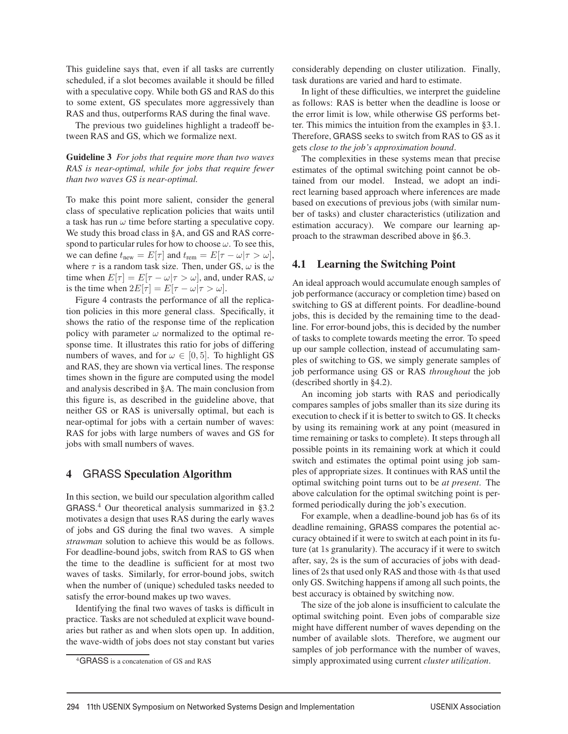This guideline says that, even if all tasks are currently scheduled, if a slot becomes available it should be filled with a speculative copy. While both GS and RAS do this to some extent, GS speculates more aggressively than RAS and thus, outperforms RAS during the final wave.

The previous two guidelines highlight a tradeoff between RAS and GS, which we formalize next.

#### Guideline 3 *For jobs that require more than two waves RAS is near-optimal, while for jobs that require fewer than two waves GS is near-optimal.*

To make this point more salient, consider the general class of speculative replication policies that waits until a task has run  $\omega$  time before starting a speculative copy. We study this broad class in §A, and GS and RAS correspond to particular rules for how to choose  $\omega$ . To see this, we can define  $t_{\text{new}} = E[\tau]$  and  $t_{\text{rem}} = E[\tau - \omega | \tau > \omega]$ , where  $\tau$  is a random task size. Then, under GS,  $\omega$  is the time when  $E[\tau] = E[\tau - \omega | \tau > \omega]$ , and, under RAS,  $\omega$ is the time when  $2E[\tau] = E[\tau - \omega | \tau > \omega]$ .

Figure 4 contrasts the performance of all the replication policies in this more general class. Specifically, it shows the ratio of the response time of the replication policy with parameter  $\omega$  normalized to the optimal response time. It illustrates this ratio for jobs of differing numbers of waves, and for  $\omega \in [0, 5]$ . To highlight GS and RAS, they are shown via vertical lines. The response times shown in the figure are computed using the model and analysis described in §A. The main conclusion from this figure is, as described in the guideline above, that neither GS or RAS is universally optimal, but each is near-optimal for jobs with a certain number of waves: RAS for jobs with large numbers of waves and GS for jobs with small numbers of waves.

#### 4 GRASS Speculation Algorithm

In this section, we build our speculation algorithm called GRASS. <sup>4</sup> Our theoretical analysis summarized in §3.2 motivates a design that uses RAS during the early waves of jobs and GS during the final two waves. A simple *strawman* solution to achieve this would be as follows. For deadline-bound jobs, switch from RAS to GS when the time to the deadline is sufficient for at most two waves of tasks. Similarly, for error-bound jobs, switch when the number of (unique) scheduled tasks needed to satisfy the error-bound makes up two waves.

Identifying the final two waves of tasks is difficult in practice. Tasks are not scheduled at explicit wave boundaries but rather as and when slots open up. In addition, the wave-width of jobs does not stay constant but varies considerably depending on cluster utilization. Finally, task durations are varied and hard to estimate.

In light of these difficulties, we interpret the guideline as follows: RAS is better when the deadline is loose or the error limit is low, while otherwise GS performs better. This mimics the intuition from the examples in §3.1. Therefore, GRASS seeks to switch from RAS to GS as it gets *close to the job's approximation bound*.

The complexities in these systems mean that precise estimates of the optimal switching point cannot be obtained from our model. Instead, we adopt an indirect learning based approach where inferences are made based on executions of previous jobs (with similar number of tasks) and cluster characteristics (utilization and estimation accuracy). We compare our learning approach to the strawman described above in §6.3.

#### 4.1 Learning the Switching Point

An ideal approach would accumulate enough samples of job performance (accuracy or completion time) based on switching to GS at different points. For deadline-bound jobs, this is decided by the remaining time to the deadline. For error-bound jobs, this is decided by the number of tasks to complete towards meeting the error. To speed up our sample collection, instead of accumulating samples of switching to GS, we simply generate samples of job performance using GS or RAS *throughout* the job (described shortly in §4.2).

An incoming job starts with RAS and periodically compares samples of jobs smaller than its size during its execution to check if it is better to switch to GS. It checks by using its remaining work at any point (measured in time remaining or tasks to complete). It steps through all possible points in its remaining work at which it could switch and estimates the optimal point using job samples of appropriate sizes. It continues with RAS until the optimal switching point turns out to be *at present*. The above calculation for the optimal switching point is performed periodically during the job's execution.

For example, when a deadline-bound job has 6s of its deadline remaining, GRASS compares the potential accuracy obtained if it were to switch at each point in its future (at 1s granularity). The accuracy if it were to switch after, say, 2s is the sum of accuracies of jobs with deadlines of 2s that used only RAS and those with 4s that used only GS. Switching happens if among all such points, the best accuracy is obtained by switching now.

The size of the job alone is insufficient to calculate the optimal switching point. Even jobs of comparable size might have different number of waves depending on the number of available slots. Therefore, we augment our samples of job performance with the number of waves, simply approximated using current *cluster utilization*.

<sup>4</sup>GRASS is a concatenation of GS and RAS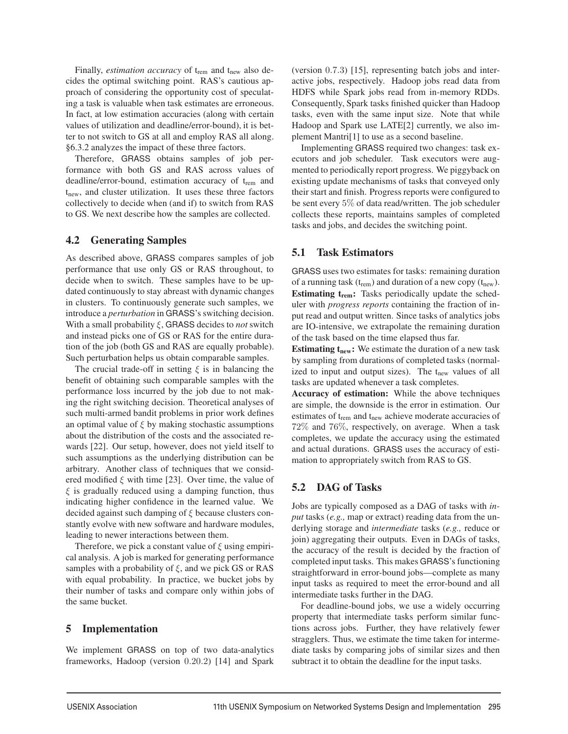Finally, *estimation accuracy* of t<sub>rem</sub> and t<sub>new</sub> also decides the optimal switching point. RAS's cautious approach of considering the opportunity cost of speculating a task is valuable when task estimates are erroneous. In fact, at low estimation accuracies (along with certain values of utilization and deadline/error-bound), it is better to not switch to GS at all and employ RAS all along. §6.3.2 analyzes the impact of these three factors.

Therefore, GRASS obtains samples of job performance with both GS and RAS across values of deadline/error-bound, estimation accuracy of  $t_{\text{rem}}$  and  $t_{\text{new}}$ , and cluster utilization. It uses these three factors collectively to decide when (and if) to switch from RAS to GS. We next describe how the samples are collected.

## 4.2 Generating Samples

As described above, GRASS compares samples of job performance that use only GS or RAS throughout, to decide when to switch. These samples have to be updated continuously to stay abreast with dynamic changes in clusters. To continuously generate such samples, we introduce a *perturbation* in GRASS's switching decision. With a small probability ξ, GRASS decides to *not* switch and instead picks one of GS or RAS for the entire duration of the job (both GS and RAS are equally probable). Such perturbation helps us obtain comparable samples.

The crucial trade-off in setting  $\xi$  is in balancing the benefit of obtaining such comparable samples with the performance loss incurred by the job due to not making the right switching decision. Theoretical analyses of such multi-armed bandit problems in prior work defines an optimal value of  $\xi$  by making stochastic assumptions about the distribution of the costs and the associated rewards [22]. Our setup, however, does not yield itself to such assumptions as the underlying distribution can be arbitrary. Another class of techniques that we considered modified  $\xi$  with time [23]. Over time, the value of  $\xi$  is gradually reduced using a damping function, thus indicating higher confidence in the learned value. We decided against such damping of  $\xi$  because clusters constantly evolve with new software and hardware modules, leading to newer interactions between them.

Therefore, we pick a constant value of  $\xi$  using empirical analysis. A job is marked for generating performance samples with a probability of  $\xi$ , and we pick GS or RAS with equal probability. In practice, we bucket jobs by their number of tasks and compare only within jobs of the same bucket.

## 5 Implementation

We implement GRASS on top of two data-analytics frameworks, Hadoop (version 0.20.2) [14] and Spark (version 0.7.3) [15], representing batch jobs and interactive jobs, respectively. Hadoop jobs read data from HDFS while Spark jobs read from in-memory RDDs. Consequently, Spark tasks finished quicker than Hadoop tasks, even with the same input size. Note that while Hadoop and Spark use LATE[2] currently, we also implement Mantri[1] to use as a second baseline.

Implementing GRASS required two changes: task executors and job scheduler. Task executors were augmented to periodically report progress. We piggyback on existing update mechanisms of tasks that conveyed only their start and finish. Progress reports were configured to be sent every 5% of data read/written. The job scheduler collects these reports, maintains samples of completed tasks and jobs, and decides the switching point.

## 5.1 Task Estimators

GRASS uses two estimates for tasks: remaining duration of a running task  $(t_{rem})$  and duration of a new copy  $(t_{new})$ . Estimating  $t_{rem}$ : Tasks periodically update the scheduler with *progress reports* containing the fraction of input read and output written. Since tasks of analytics jobs are IO-intensive, we extrapolate the remaining duration of the task based on the time elapsed thus far.

**Estimating**  $t_{\text{new}}$ **:** We estimate the duration of a new task by sampling from durations of completed tasks (normalized to input and output sizes). The  $t_{new}$  values of all tasks are updated whenever a task completes.

Accuracy of estimation: While the above techniques are simple, the downside is the error in estimation. Our estimates of t<sub>rem</sub> and t<sub>new</sub> achieve moderate accuracies of 72% and 76%, respectively, on average. When a task completes, we update the accuracy using the estimated and actual durations. GRASS uses the accuracy of estimation to appropriately switch from RAS to GS.

## 5.2 DAG of Tasks

Jobs are typically composed as a DAG of tasks with *input* tasks (*e.g.,* map or extract) reading data from the underlying storage and *intermediate* tasks (*e.g.,* reduce or join) aggregating their outputs. Even in DAGs of tasks, the accuracy of the result is decided by the fraction of completed input tasks. This makes GRASS's functioning straightforward in error-bound jobs—complete as many input tasks as required to meet the error-bound and all intermediate tasks further in the DAG.

For deadline-bound jobs, we use a widely occurring property that intermediate tasks perform similar functions across jobs. Further, they have relatively fewer stragglers. Thus, we estimate the time taken for intermediate tasks by comparing jobs of similar sizes and then subtract it to obtain the deadline for the input tasks.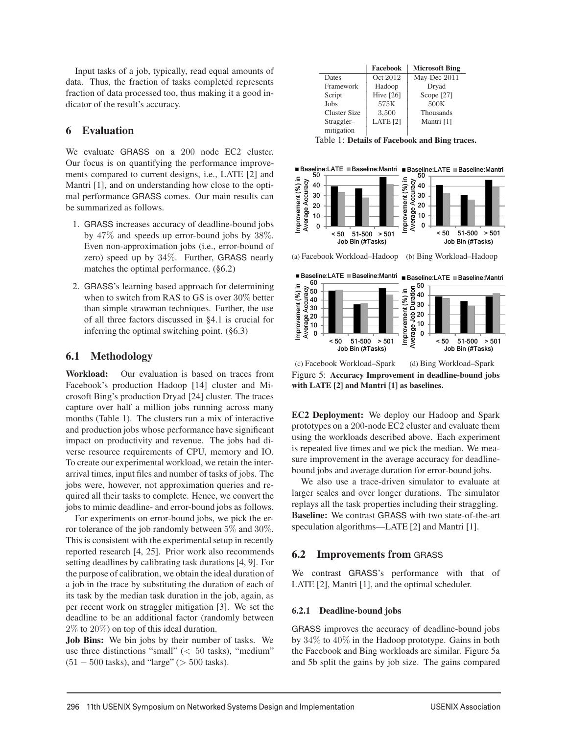Input tasks of a job, typically, read equal amounts of data. Thus, the fraction of tasks completed represents fraction of data processed too, thus making it a good indicator of the result's accuracy.

## 6 Evaluation

We evaluate GRASS on a 200 node EC2 cluster. Our focus is on quantifying the performance improvements compared to current designs, i.e., LATE [2] and Mantri [1], and on understanding how close to the optimal performance GRASS comes. Our main results can be summarized as follows.

- 1. GRASS increases accuracy of deadline-bound jobs by 47% and speeds up error-bound jobs by 38%. Even non-approximation jobs (i.e., error-bound of zero) speed up by 34%. Further, GRASS nearly matches the optimal performance. (§6.2)
- 2. GRASS's learning based approach for determining when to switch from RAS to GS is over 30% better than simple strawman techniques. Further, the use of all three factors discussed in §4.1 is crucial for inferring the optimal switching point. (§6.3)

## 6.1 Methodology

Workload: Our evaluation is based on traces from Facebook's production Hadoop [14] cluster and Microsoft Bing's production Dryad [24] cluster. The traces capture over half a million jobs running across many months (Table 1). The clusters run a mix of interactive and production jobs whose performance have significant impact on productivity and revenue. The jobs had diverse resource requirements of CPU, memory and IO. To create our experimental workload, we retain the interarrival times, input files and number of tasks of jobs. The jobs were, however, not approximation queries and required all their tasks to complete. Hence, we convert the jobs to mimic deadline- and error-bound jobs as follows.

For experiments on error-bound jobs, we pick the error tolerance of the job randomly between 5% and 30%. This is consistent with the experimental setup in recently reported research [4, 25]. Prior work also recommends setting deadlines by calibrating task durations [4, 9]. For the purpose of calibration, we obtain the ideal duration of a job in the trace by substituting the duration of each of its task by the median task duration in the job, again, as per recent work on straggler mitigation [3]. We set the deadline to be an additional factor (randomly between 2% to 20%) on top of this ideal duration.

Job Bins: We bin jobs by their number of tasks. We use three distinctions "small"  $(< 50$  tasks), "medium"  $(51 - 500$  tasks), and "large" ( $> 500$  tasks).

|                     | Facebook            | <b>Microsoft Bing</b> |
|---------------------|---------------------|-----------------------|
| Dates               | Oct 2012            | May-Dec 2011          |
| Framework           | Hadoop              | Dryad                 |
| Script              | <b>Hive [26]</b>    | Scope $[27]$          |
| Jobs                | 575K                | 500K                  |
| <b>Cluster Size</b> | 3,500               | Thousands             |
| Straggler-          | LATE <sub>[2]</sub> | Mantri [1]            |
| mitigation          |                     |                       |

Table 1: Details of Facebook and Bing traces.

50 Baseline:LATE Baseline:Mantri Baseline:LATE Baseline:Mantri



(a) Facebook Workload–Hadoop (b) Bing Workload–Hadoop



(c) Facebook Workload–Spark (d) Bing Workload–Spark Figure 5: Accuracy Improvement in deadline-bound jobs with LATE [2] and Mantri [1] as baselines.

EC2 Deployment: We deploy our Hadoop and Spark prototypes on a 200-node EC2 cluster and evaluate them using the workloads described above. Each experiment is repeated five times and we pick the median. We measure improvement in the average accuracy for deadlinebound jobs and average duration for error-bound jobs.

We also use a trace-driven simulator to evaluate at larger scales and over longer durations. The simulator replays all the task properties including their straggling. Baseline: We contrast GRASS with two state-of-the-art speculation algorithms—LATE [2] and Mantri [1].

## 6.2 Improvements from GRASS

We contrast GRASS's performance with that of LATE [2], Mantri [1], and the optimal scheduler.

#### 6.2.1 Deadline-bound jobs

GRASS improves the accuracy of deadline-bound jobs by 34% to 40% in the Hadoop prototype. Gains in both the Facebook and Bing workloads are similar. Figure 5a and 5b split the gains by job size. The gains compared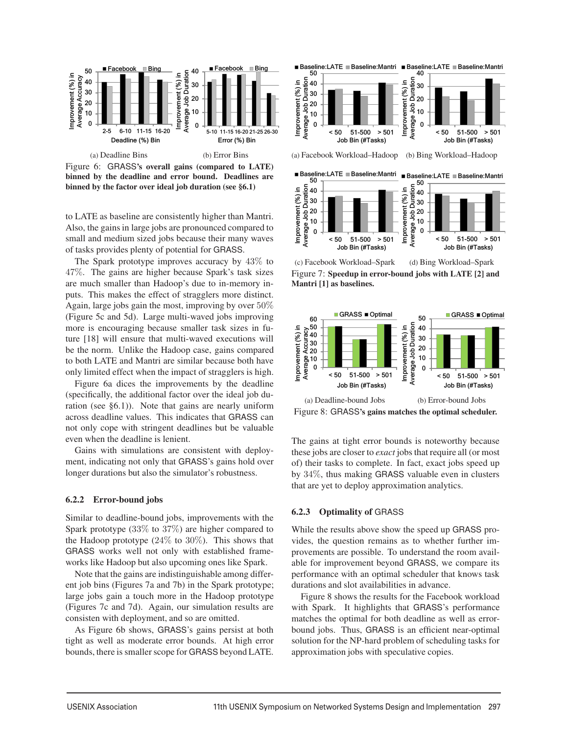

binned by the deadline and error bound. Deadlines are binned by the factor over ideal job duration (see §6.1)

to LATE as baseline are consistently higher than Mantri. Also, the gains in large jobs are pronounced compared to small and medium sized jobs because their many waves of tasks provides plenty of potential for GRASS.

The Spark prototype improves accuracy by 43% to 47%. The gains are higher because Spark's task sizes are much smaller than Hadoop's due to in-memory inputs. This makes the effect of stragglers more distinct. Again, large jobs gain the most, improving by over 50% (Figure 5c and 5d). Large multi-waved jobs improving more is encouraging because smaller task sizes in future [18] will ensure that multi-waved executions will be the norm. Unlike the Hadoop case, gains compared to both LATE and Mantri are similar because both have only limited effect when the impact of stragglers is high.

Figure 6a dices the improvements by the deadline (specifically, the additional factor over the ideal job duration (see §6.1)). Note that gains are nearly uniform across deadline values. This indicates that GRASS can not only cope with stringent deadlines but be valuable even when the deadline is lenient.

Gains with simulations are consistent with deployment, indicating not only that GRASS's gains hold over longer durations but also the simulator's robustness.

#### 6.2.2 Error-bound jobs

Similar to deadline-bound jobs, improvements with the Spark prototype (33% to 37%) are higher compared to the Hadoop prototype  $(24\%$  to  $30\%)$ . This shows that GRASS works well not only with established frameworks like Hadoop but also upcoming ones like Spark.

Note that the gains are indistinguishable among different job bins (Figures 7a and 7b) in the Spark prototype; large jobs gain a touch more in the Hadoop prototype (Figures 7c and 7d). Again, our simulation results are consisten with deployment, and so are omitted.

As Figure 6b shows, GRASS's gains persist at both tight as well as moderate error bounds. At high error bounds, there is smaller scope for GRASS beyond LATE.



(c) Facebook Workload–Spark (d) Bing Workload–Spark Figure 7: Speedup in error-bound jobs with LATE [2] and Mantri [1] as baselines.



Figure 8: GRASS's gains matches the optimal scheduler.

The gains at tight error bounds is noteworthy because these jobs are closer to *exact* jobs that require all (or most of) their tasks to complete. In fact, exact jobs speed up by 34%, thus making GRASS valuable even in clusters that are yet to deploy approximation analytics.

#### 6.2.3 Optimality of GRASS

While the results above show the speed up GRASS provides, the question remains as to whether further improvements are possible. To understand the room available for improvement beyond GRASS, we compare its performance with an optimal scheduler that knows task durations and slot availabilities in advance.

Figure 8 shows the results for the Facebook workload with Spark. It highlights that GRASS's performance matches the optimal for both deadline as well as errorbound jobs. Thus, GRASS is an efficient near-optimal solution for the NP-hard problem of scheduling tasks for approximation jobs with speculative copies.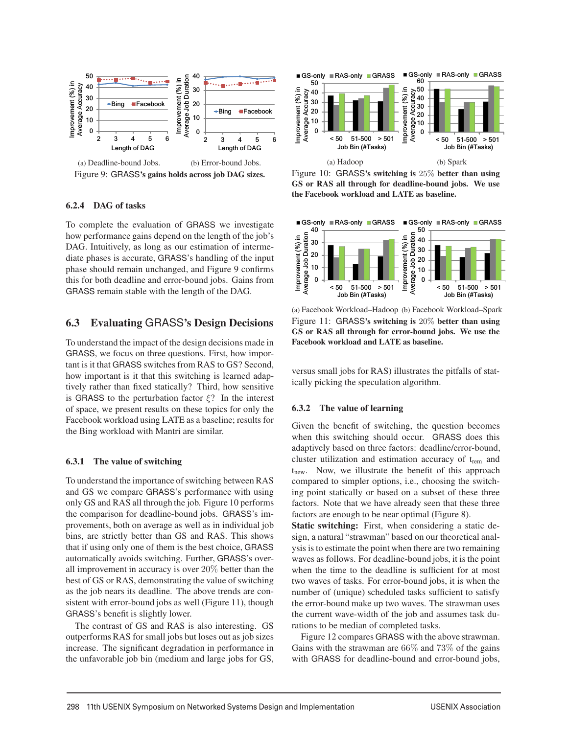

#### 6.2.4 DAG of tasks

To complete the evaluation of GRASS we investigate how performance gains depend on the length of the job's DAG. Intuitively, as long as our estimation of intermediate phases is accurate, GRASS's handling of the input phase should remain unchanged, and Figure 9 confirms this for both deadline and error-bound jobs. Gains from GRASS remain stable with the length of the DAG.

## 6.3 Evaluating GRASS's Design Decisions

To understand the impact of the design decisions made in GRASS, we focus on three questions. First, how important is it that GRASS switches from RAS to GS? Second, how important is it that this switching is learned adaptively rather than fixed statically? Third, how sensitive is GRASS to the perturbation factor  $\xi$ ? In the interest of space, we present results on these topics for only the Facebook workload using LATE as a baseline; results for the Bing workload with Mantri are similar.

#### 6.3.1 The value of switching

To understand the importance of switching between RAS and GS we compare GRASS's performance with using only GS and RAS all through the job. Figure 10 performs the comparison for deadline-bound jobs. GRASS's improvements, both on average as well as in individual job bins, are strictly better than GS and RAS. This shows that if using only one of them is the best choice, GRASS automatically avoids switching. Further, GRASS's overall improvement in accuracy is over 20% better than the best of GS or RAS, demonstrating the value of switching as the job nears its deadline. The above trends are consistent with error-bound jobs as well (Figure 11), though GRASS's benefit is slightly lower.

The contrast of GS and RAS is also interesting. GS outperforms RAS for small jobs but loses out as job sizes increase. The significant degradation in performance in the unfavorable job bin (medium and large jobs for GS,



Figure 10: GRASS's switching is 25% better than using GS or RAS all through for deadline-bound jobs. We use the Facebook workload and LATE as baseline.



(a) Facebook Workload–Hadoop (b) Facebook Workload–Spark Figure 11: GRASS's switching is 20% better than using GS or RAS all through for error-bound jobs. We use the Facebook workload and LATE as baseline.

versus small jobs for RAS) illustrates the pitfalls of statically picking the speculation algorithm.

#### 6.3.2 The value of learning

Given the benefit of switching, the question becomes when this switching should occur. GRASS does this adaptively based on three factors: deadline/error-bound, cluster utilization and estimation accuracy of trem and t<sub>new</sub>. Now, we illustrate the benefit of this approach compared to simpler options, i.e., choosing the switching point statically or based on a subset of these three factors. Note that we have already seen that these three factors are enough to be near optimal (Figure 8).

Static switching: First, when considering a static design, a natural "strawman" based on our theoretical analysis is to estimate the point when there are two remaining waves as follows. For deadline-bound jobs, it is the point when the time to the deadline is sufficient for at most two waves of tasks. For error-bound jobs, it is when the number of (unique) scheduled tasks sufficient to satisfy the error-bound make up two waves. The strawman uses the current wave-width of the job and assumes task durations to be median of completed tasks.

Figure 12 compares GRASS with the above strawman. Gains with the strawman are  $66\%$  and  $73\%$  of the gains with GRASS for deadline-bound and error-bound jobs,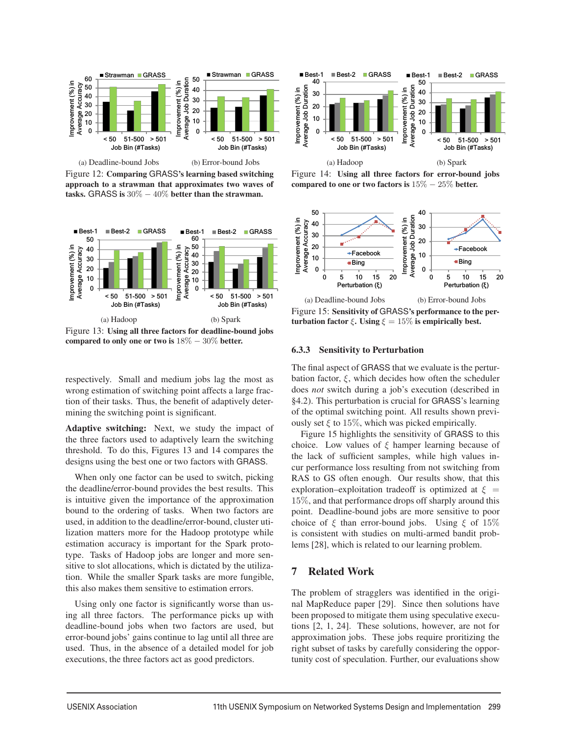

Figure 12: Comparing GRASS's learning based switching approach to a strawman that approximates two waves of tasks. GRASS is  $30\% - 40\%$  better than the strawman.



Figure 13: Using all three factors for deadline-bound jobs compared to only one or two is  $18\% - 30\%$  better.

respectively. Small and medium jobs lag the most as wrong estimation of switching point affects a large fraction of their tasks. Thus, the benefit of adaptively determining the switching point is significant.

Adaptive switching: Next, we study the impact of the three factors used to adaptively learn the switching threshold. To do this, Figures 13 and 14 compares the designs using the best one or two factors with GRASS.

When only one factor can be used to switch, picking the deadline/error-bound provides the best results. This is intuitive given the importance of the approximation bound to the ordering of tasks. When two factors are used, in addition to the deadline/error-bound, cluster utilization matters more for the Hadoop prototype while estimation accuracy is important for the Spark prototype. Tasks of Hadoop jobs are longer and more sensitive to slot allocations, which is dictated by the utilization. While the smaller Spark tasks are more fungible, this also makes them sensitive to estimation errors.

Using only one factor is significantly worse than using all three factors. The performance picks up with deadline-bound jobs when two factors are used, but error-bound jobs' gains continue to lag until all three are used. Thus, in the absence of a detailed model for job executions, the three factors act as good predictors.



Figure 14: Using all three factors for error-bound jobs compared to one or two factors is  $15\% - 25\%$  better.



Figure 15: Sensitivity of GRASS's performance to the perturbation factor  $\xi$ . Using  $\xi = 15\%$  is empirically best.

#### 6.3.3 Sensitivity to Perturbation

The final aspect of GRASS that we evaluate is the perturbation factor,  $\xi$ , which decides how often the scheduler does *not* switch during a job's execution (described in §4.2). This perturbation is crucial for GRASS's learning of the optimal switching point. All results shown previously set  $\xi$  to 15%, which was picked empirically.

Figure 15 highlights the sensitivity of GRASS to this choice. Low values of  $\xi$  hamper learning because of the lack of sufficient samples, while high values incur performance loss resulting from not switching from RAS to GS often enough. Our results show, that this exploration–exploitation tradeoff is optimized at  $\xi =$ 15%, and that performance drops off sharply around this point. Deadline-bound jobs are more sensitive to poor choice of  $\xi$  than error-bound jobs. Using  $\xi$  of 15% is consistent with studies on multi-armed bandit problems [28], which is related to our learning problem.

#### 7 Related Work

The problem of stragglers was identified in the original MapReduce paper [29]. Since then solutions have been proposed to mitigate them using speculative executions [2, 1, 24]. These solutions, however, are not for approximation jobs. These jobs require proritizing the right subset of tasks by carefully considering the opportunity cost of speculation. Further, our evaluations show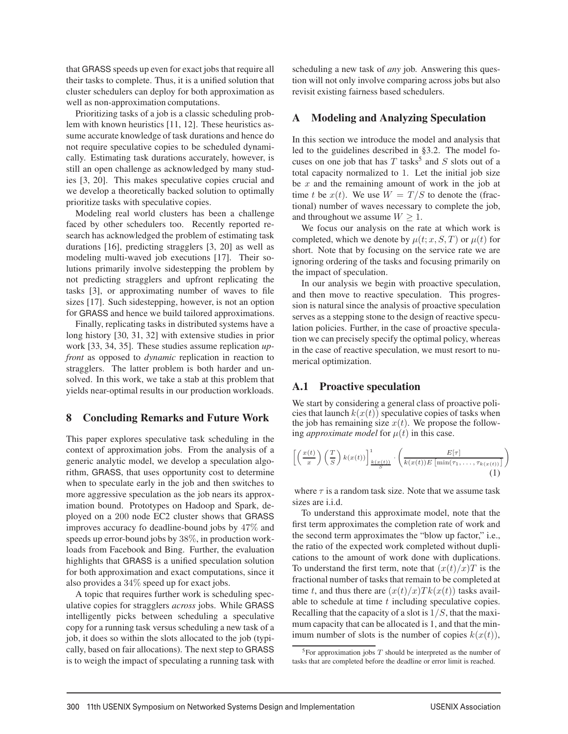that GRASS speeds up even for exact jobs that require all their tasks to complete. Thus, it is a unified solution that cluster schedulers can deploy for both approximation as well as non-approximation computations.

Prioritizing tasks of a job is a classic scheduling problem with known heuristics [11, 12]. These heuristics assume accurate knowledge of task durations and hence do not require speculative copies to be scheduled dynamically. Estimating task durations accurately, however, is still an open challenge as acknowledged by many studies [3, 20]. This makes speculative copies crucial and we develop a theoretically backed solution to optimally prioritize tasks with speculative copies.

Modeling real world clusters has been a challenge faced by other schedulers too. Recently reported research has acknowledged the problem of estimating task durations [16], predicting stragglers [3, 20] as well as modeling multi-waved job executions [17]. Their solutions primarily involve sidestepping the problem by not predicting stragglers and upfront replicating the tasks [3], or approximating number of waves to file sizes [17]. Such sidestepping, however, is not an option for GRASS and hence we build tailored approximations.

Finally, replicating tasks in distributed systems have a long history [30, 31, 32] with extensive studies in prior work [33, 34, 35]. These studies assume replication *upfront* as opposed to *dynamic* replication in reaction to stragglers. The latter problem is both harder and unsolved. In this work, we take a stab at this problem that yields near-optimal results in our production workloads.

## 8 Concluding Remarks and Future Work

This paper explores speculative task scheduling in the context of approximation jobs. From the analysis of a generic analytic model, we develop a speculation algorithm, GRASS, that uses opportunity cost to determine when to speculate early in the job and then switches to more aggressive speculation as the job nears its approximation bound. Prototypes on Hadoop and Spark, deployed on a 200 node EC2 cluster shows that GRASS improves accuracy fo deadline-bound jobs by 47% and speeds up error-bound jobs by 38%, in production workloads from Facebook and Bing. Further, the evaluation highlights that GRASS is a unified speculation solution for both approximation and exact computations, since it also provides a 34% speed up for exact jobs.

A topic that requires further work is scheduling speculative copies for stragglers *across* jobs. While GRASS intelligently picks between scheduling a speculative copy for a running task versus scheduling a new task of a job, it does so within the slots allocated to the job (typically, based on fair allocations). The next step to GRASS is to weigh the impact of speculating a running task with scheduling a new task of *any* job. Answering this question will not only involve comparing across jobs but also revisit existing fairness based schedulers.

## A Modeling and Analyzing Speculation

In this section we introduce the model and analysis that led to the guidelines described in §3.2. The model focuses on one job that has  $T$  tasks<sup>5</sup> and  $S$  slots out of a total capacity normalized to 1. Let the initial job size be  $x$  and the remaining amount of work in the job at time t be  $x(t)$ . We use  $W = T/S$  to denote the (fractional) number of waves necessary to complete the job, and throughout we assume  $W \geq 1$ .

We focus our analysis on the rate at which work is completed, which we denote by  $\mu(t; x, S, T)$  or  $\mu(t)$  for short. Note that by focusing on the service rate we are ignoring ordering of the tasks and focusing primarily on the impact of speculation.

In our analysis we begin with proactive speculation, and then move to reactive speculation. This progression is natural since the analysis of proactive speculation serves as a stepping stone to the design of reactive speculation policies. Further, in the case of proactive speculation we can precisely specify the optimal policy, whereas in the case of reactive speculation, we must resort to numerical optimization.

## A.1 Proactive speculation

We start by considering a general class of proactive policies that launch  $k(x(t))$  speculative copies of tasks when the job has remaining size  $x(t)$ . We propose the following *approximate model* for  $\mu(t)$  in this case.

$$
\left[ \left( \frac{x(t)}{x} \right) \left( \frac{T}{S} \right) k(x(t)) \right]_{\frac{k(x(t))}{S}}^{1} \cdot \left( \frac{E[\tau]}{k(x(t))E\left[\min(\tau_{1}, \ldots, \tau_{k(x(t))}\right]} \right)
$$
\n(1)

where  $\tau$  is a random task size. Note that we assume task sizes are i.i.d.

To understand this approximate model, note that the first term approximates the completion rate of work and the second term approximates the "blow up factor," i.e., the ratio of the expected work completed without duplications to the amount of work done with duplications. To understand the first term, note that  $(x(t)/x)T$  is the fractional number of tasks that remain to be completed at time t, and thus there are  $(x(t)/x)Tk(x(t))$  tasks available to schedule at time  $t$  including speculative copies. Recalling that the capacity of a slot is  $1/S$ , that the maximum capacity that can be allocated is 1, and that the minimum number of slots is the number of copies  $k(x(t))$ ,

 $\overline{a}$ 

 $5$ For approximation jobs  $T$  should be interpreted as the number of tasks that are completed before the deadline or error limit is reached.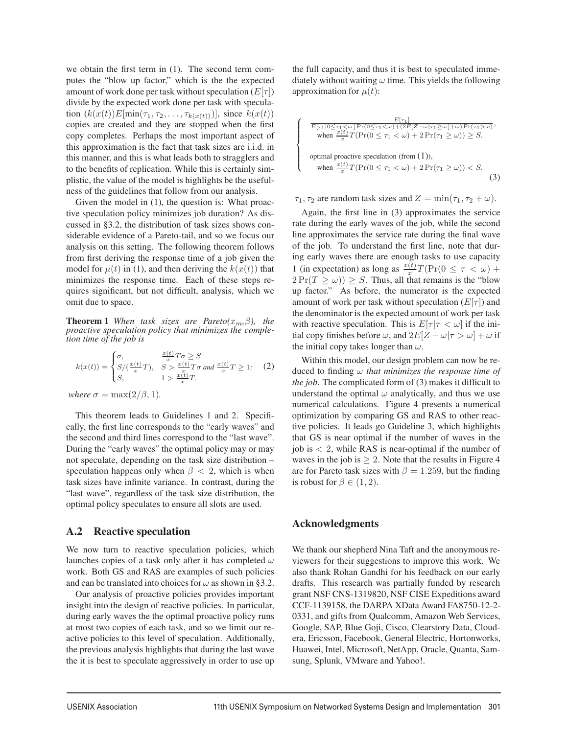we obtain the first term in (1). The second term computes the "blow up factor," which is the the expected amount of work done per task without speculation  $(E[\tau])$ divide by the expected work done per task with speculation  $(k(x(t))E[\min(\tau_1, \tau_2,...,\tau_{k(x(t))})],$  since  $k(x(t))$ copies are created and they are stopped when the first copy completes. Perhaps the most important aspect of this approximation is the fact that task sizes are i.i.d. in this manner, and this is what leads both to stragglers and to the benefits of replication. While this is certainly simplistic, the value of the model is highlights be the usefulness of the guidelines that follow from our analysis.

Given the model in  $(1)$ , the question is: What proactive speculation policy minimizes job duration? As discussed in §3.2, the distribution of task sizes shows considerable evidence of a Pareto-tail, and so we focus our analysis on this setting. The following theorem follows from first deriving the response time of a job given the model for  $\mu(t)$  in (1), and then deriving the  $k(x(t))$  that minimizes the response time. Each of these steps requires significant, but not difficult, analysis, which we omit due to space.

**Theorem 1** When task sizes are Pareto( $x_m, \beta$ ), the *proactive speculation policy that minimizes the completion time of the job is*

$$
k(x(t)) = \begin{cases} \sigma, & \frac{x(t)}{x}T\sigma \ge S\\ S/(\frac{x(t)}{x}T), & S > \frac{x(t)}{x}T\sigma \text{ and } \frac{x(t)}{x}T \ge 1;\\ S, & 1 > \frac{x(t)}{x}T. \end{cases}
$$
 (2)

*where*  $\sigma = \max(2/\beta, 1)$ *.* 

This theorem leads to Guidelines 1 and 2. Specifically, the first line corresponds to the "early waves" and the second and third lines correspond to the "last wave". During the "early waves" the optimal policy may or may not speculate, depending on the task size distribution – speculation happens only when  $\beta$  < 2, which is when task sizes have infinite variance. In contrast, during the "last wave", regardless of the task size distribution, the optimal policy speculates to ensure all slots are used.

#### A.2 Reactive speculation

We now turn to reactive speculation policies, which launches copies of a task only after it has completed  $\omega$ work. Both GS and RAS are examples of such policies and can be translated into choices for  $\omega$  as shown in §3.2.

Our analysis of proactive policies provides important insight into the design of reactive policies. In particular, during early waves the the optimal proactive policy runs at most two copies of each task, and so we limit our reactive policies to this level of speculation. Additionally, the previous analysis highlights that during the last wave the it is best to speculate aggressively in order to use up the full capacity, and thus it is best to speculated immediately without waiting  $\omega$  time. This yields the following approximation for  $\mu(t)$ :

$$
\begin{cases}\n\frac{E[\tau_1]}{E[\tau_1|0\leq \tau_1 < \omega] \Pr(0\leq \tau_1 < \omega) + (2E[Z-\omega|\tau_1 \geq \omega] + \omega) \Pr(\tau_1 > \omega)}, \\
\text{when } \frac{x(t)}{x} T\left(\Pr(0 \leq \tau_1 < \omega) + 2 \Pr(\tau_1 \geq \omega)\right) \geq S. \\
\text{optimal practice speculation (from (1)),} \\
\text{when } \frac{x(t)}{x} T\left(\Pr(0 \leq \tau_1 < \omega) + 2 \Pr(\tau_1 \geq \omega)\right) < S.\n\end{cases}
$$
\n(3)

 $\tau_1$ ,  $\tau_2$  are random task sizes and  $Z = \min(\tau_1, \tau_2 + \omega)$ .

Again, the first line in (3) approximates the service rate during the early waves of the job, while the second line approximates the service rate during the final wave of the job. To understand the first line, note that during early waves there are enough tasks to use capacity 1 (in expectation) as long as  $\frac{x(t)}{x}T(\Pr(0 \leq \tau < \omega) +$  $2 \Pr(T \ge \omega)$ )  $\ge S$ . Thus, all that remains is the "blow" up factor." As before, the numerator is the expected amount of work per task without speculation  $(E[\tau])$  and the denominator is the expected amount of work per task with reactive speculation. This is  $E[\tau | \tau < \omega]$  if the initial copy finishes before  $\omega$ , and  $2E[Z - \omega | \tau > \omega] + \omega$  if the initial copy takes longer than  $\omega$ .

Within this model, our design problem can now be reduced to finding ω *that minimizes the response time of the job*. The complicated form of (3) makes it difficult to understand the optimal  $\omega$  analytically, and thus we use numerical calculations. Figure 4 presents a numerical optimization by comparing GS and RAS to other reactive policies. It leads go Guideline 3, which highlights that GS is near optimal if the number of waves in the job is  $\langle 2 \rangle$ , while RAS is near-optimal if the number of waves in the job is  $> 2$ . Note that the results in Figure 4 are for Pareto task sizes with  $\beta = 1.259$ , but the finding is robust for  $\beta \in (1, 2)$ .

#### Acknowledgments

We thank our shepherd Nina Taft and the anonymous reviewers for their suggestions to improve this work. We also thank Rohan Gandhi for his feedback on our early drafts. This research was partially funded by research grant NSF CNS-1319820, NSF CISE Expeditions award CCF-1139158, the DARPA XData Award FA8750-12-2- 0331, and gifts from Qualcomm, Amazon Web Services, Google, SAP, Blue Goji, Cisco, Clearstory Data, Cloudera, Ericsson, Facebook, General Electric, Hortonworks, Huawei, Intel, Microsoft, NetApp, Oracle, Quanta, Samsung, Splunk, VMware and Yahoo!.

 $\overline{a}$